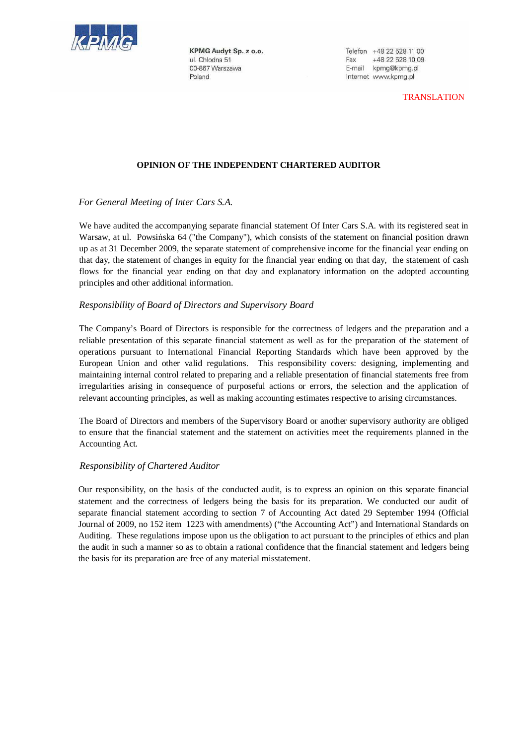

KPMG Audyt Sp. z o.o. ul. Chłodna 51 00-867 Warszawa Poland

Telefon +48 22 528 11 00 +48 22 528 10 09 Fax E-mail kpmg@kpmg.pl Internet www.kpmg.pl

TRANSLATION

### **OPINION OF THE INDEPENDENT CHARTERED AUDITOR**

## *For General Meeting of Inter Cars S.A.*

We have audited the accompanying separate financial statement Of Inter Cars S.A. with its registered seat in Warsaw, at ul. Powsińska 64 ("the Company"), which consists of the statement on financial position drawn up as at 31 December 2009, the separate statement of comprehensive income for the financial year ending on that day, the statement of changes in equity for the financial year ending on that day, the statement of cash flows for the financial year ending on that day and explanatory information on the adopted accounting principles and other additional information.

### *Responsibility of Board of Directors and Supervisory Board*

The Company's Board of Directors is responsible for the correctness of ledgers and the preparation and a reliable presentation of this separate financial statement as well as for the preparation of the statement of operations pursuant to International Financial Reporting Standards which have been approved by the European Union and other valid regulations. This responsibility covers: designing, implementing and maintaining internal control related to preparing and a reliable presentation of financial statements free from irregularities arising in consequence of purposeful actions or errors, the selection and the application of relevant accounting principles, as well as making accounting estimates respective to arising circumstances.

The Board of Directors and members of the Supervisory Board or another supervisory authority are obliged to ensure that the financial statement and the statement on activities meet the requirements planned in the Accounting Act.

### *Responsibility of Chartered Auditor*

Our responsibility, on the basis of the conducted audit, is to express an opinion on this separate financial statement and the correctness of ledgers being the basis for its preparation. We conducted our audit of separate financial statement according to section 7 of Accounting Act dated 29 September 1994 (Official Journal of 2009, no 152 item 1223 with amendments) ("the Accounting Act") and International Standards on Auditing. These regulations impose upon us the obligation to act pursuant to the principles of ethics and plan the audit in such a manner so as to obtain a rational confidence that the financial statement and ledgers being the basis for its preparation are free of any material misstatement.